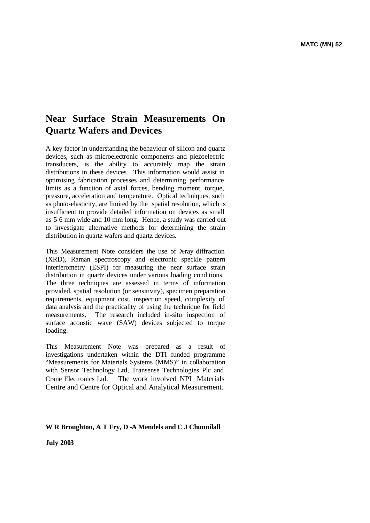# **Near Surface Strain Measurements On Quartz Wafers and Devices**

A key factor in understanding the behaviour of silicon and quartz devices, such as microelectronic components and piezoelectric transducers, is the ability to accurately map the strain distributions in these devices. This information would assist in optimising fabrication processes and determining performance limits as a function of axial forces, bending moment, torque, pressure, acceleration and temperature. Optical techniques, such as photo-elasticity, are limited by the spatial resolution, which is insufficient to provide detailed information on devices as small as 5-6 mm wide and 10 mm long. Hence, a study was carried out to investigate alternative methods for determining the strain distribution in quartz wafers and quartz devices.

This Measurement Note considers the use of X-ray diffraction (XRD), Raman spectroscopy and electronic speckle pattern interferometry (ESPI) for measuring the near surface strain distribution in quartz devices under various loading conditions. The three techniques are assessed in terms of information provided, spatial resolution (or sensitivity), specimen preparation requirements, equipment cost, inspection speed, complexity of data analysis and the practicality of using the technique for field measurements. The research included in-situ inspection of surface acoustic wave (SAW) devices subjected to torque loading.

This Measurement Note was prepared as a result of investigations undertaken within the DTI funded programme "Measurements for Materials Systems (MMS)" in collaboration with Sensor Technology Ltd, Transense Technologies Plc and Crane Electronics Ltd. The work involved NPL Materials Centre and Centre for Optical and Analytical Measurement.

# **W R Broughton, A T Fry, D -A Mendels and C J Chunnilall**

**July 2003**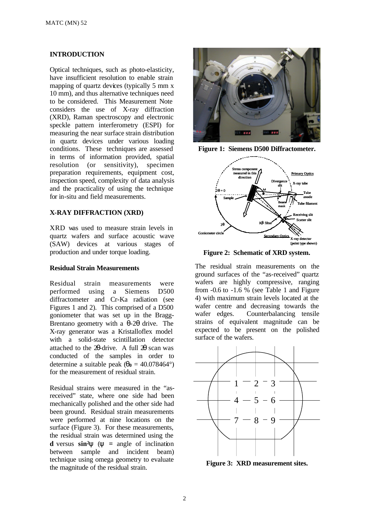# **INTRODUCTION**

Optical techniques, such as photo-elasticity, have insufficient resolution to enable strain mapping of quartz devices (typically 5 mm x 10 mm), and thus alternative techniques need to be considered. This Measurement Note considers the use of X-ray diffraction (XRD), Raman spectroscopy and electronic speckle pattern interferometry (ESPI) for measuring the near surface strain distribution in quartz devices under various loading conditions. These techniques are assessed in terms of information provided, spatial resolution (or sensitivity), specimen preparation requirements, equipment cost, inspection speed, complexity of data analysis and the practicality of using the technique for in-situ and field measurements.

#### **X-RAY DIFFRACTION (XRD)**

XRD was used to measure strain levels in quartz wafers and surface acoustic wave (SAW) devices at various stages of production and under torque loading.

## **Residual Strain Measurements**

Residual strain measurements were performed using a Siemens D500 diffractometer and Cr-Ka radiation (see Figures 1 and 2). This comprised of a D500 goniometer that was set up in the Bragg-Brentano geometry with a θ-2θ drive. The X-ray generator was a Kristalloflex model with a solid-state scintillation detector attached to the 2θ-drive. A full 2θ scan was conducted of the samples in order to determine a suitable peak ( $\mathbf{q}_0 = 40.078464^\circ$ ) for the measurement of residual strain.

Residual strains were measured in the "asreceived" state, where one side had been mechanically polished and the other side had been ground. Residual strain measurements were performed at nine locations on the surface (Figure 3). For these measurements, the residual strain was determined using the **d** versus  $\sin^2 y$  ( $y = \text{angle of inclination}$ between sample and incident beam) technique using omega geometry to evaluate the magnitude of the residual strain.







**Figure 2: Schematic of XRD system.** 

The residual strain measurements on the ground surfaces of the "as-received" quartz wafers are highly compressive, ranging from  $-0.6$  to  $-1.6$  % (see Table 1 and Figure 4) with maximum strain levels located at the wafer centre and decreasing towards the wafer edges. Counterbalancing tensile strains of equivalent magnitude can be expected to be present on the polished surface of the wafers.



**Figure 3: XRD measurement sites.**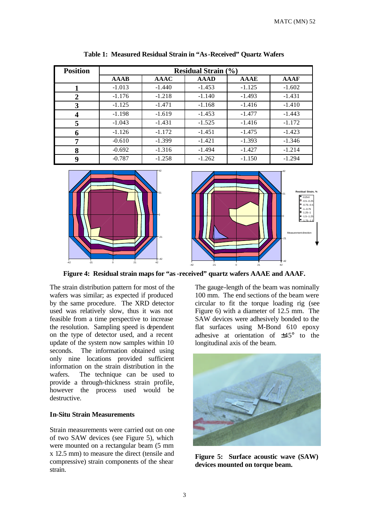| <b>Position</b> | <b>Residual Strain (%)</b> |             |             |          |             |  |
|-----------------|----------------------------|-------------|-------------|----------|-------------|--|
|                 | <b>AAAB</b>                | <b>AAAC</b> | <b>AAAD</b> | AAAE     | <b>AAAF</b> |  |
|                 | $-1.013$                   | $-1.440$    | $-1.453$    | $-1.125$ | $-1.602$    |  |
| $\overline{2}$  | $-1.176$                   | $-1.218$    | $-1.140$    | $-1.493$ | $-1.431$    |  |
| 3               | $-1.125$                   | $-1.471$    | $-1.168$    | $-1.416$ | $-1.410$    |  |
| 4               | $-1.198$                   | $-1.619$    | $-1.453$    | $-1.477$ | $-1.443$    |  |
| 5               | $-1.043$                   | $-1.431$    | $-1.525$    | $-1.416$ | $-1.172$    |  |
| 6               | $-1.126$                   | $-1.172$    | $-1.451$    | $-1.475$ | $-1.423$    |  |
| 7               | $-0.610$                   | $-1.399$    | $-1.421$    | $-1.393$ | $-1.346$    |  |
| 8               | $-0.692$                   | $-1.316$    | $-1.494$    | $-1.427$ | $-1.214$    |  |
| 9               | $-0.787$                   | $-1.258$    | $-1.262$    | $-1.150$ | $-1.294$    |  |

**Table 1: Measured Residual Strain in "As-Received" Quartz Wafers**



**Figure 4: Residual strain maps for "as-received" quartz wafers AAAE and AAAF.**

The strain distribution pattern for most of the wafers was similar; as expected if produced by the same procedure. The XRD detector used was relatively slow, thus it was not feasible from a time perspective to increase the resolution. Sampling speed is dependent on the type of detector used, and a recent update of the system now samples within 10 seconds. The information obtained using only nine locations provided sufficient information on the strain distribution in the wafers. The technique can be used to provide a through-thickness strain profile, however the process used would be destructive.

# **In-Situ Strain Measurements**

Strain measurements were carried out on one of two SAW devices (see Figure 5), which were mounted on a rectangular beam (5 mm x 12.5 mm) to measure the direct (tensile and compressive) strain components of the shear strain.

The gauge-length of the beam was nominally 100 mm. The end sections of the beam were circular to fit the torque loading rig (see Figure 6) with a diameter of 12.5 mm. The SAW devices were adhesively bonded to the flat surfaces using M-Bond 610 epoxy adhesive at orientation of ±45° to the longitudinal axis of the beam.



**Figure 5: Surface acoustic wave (SAW) devices mounted on torque beam.**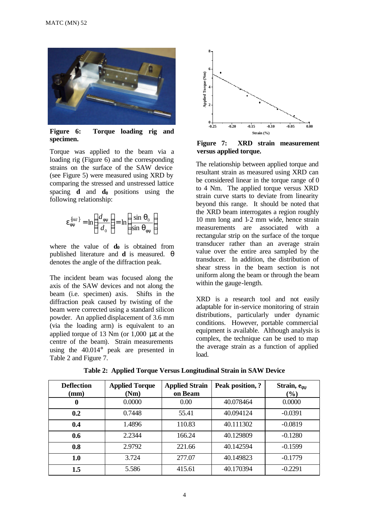

**Figure 6: Torque loading rig and specimen.** 

Torque was applied to the beam via a loading rig (Figure 6) and the corresponding strains on the surface of the SAW device (see Figure 5) were measured using XRD by comparing the stressed and unstressed lattice spacing **d** and **d0** positions using the following relationship:

$$
\mathbf{e}_{\mathbf{f}\mathbf{y}}^{\{hkl\}} = \ln\left(\frac{d_{\mathbf{f}\mathbf{y}}}{d_0}\right) = \ln\left(\frac{\sin \mathbf{q}_0}{\sin \mathbf{q}_{\mathbf{f}\mathbf{y}}}\right)
$$

where the value of **d0** is obtained from published literature and **d** is measured. **q** denotes the angle of the diffraction peak.

The incident beam was focused along the axis of the SAW devices and not along the beam (i.e. specimen) axis. Shifts in the diffraction peak caused by twisting of the beam were corrected using a standard silicon powder. An applied displacement of 3.6 mm (via the loading arm) is equivalent to an applied torque of 13 Nm (or 1,000 με at the centre of the beam). Strain measurements using the 40.014° peak are presented in Table 2 and Figure 7.



**Figure 7: XRD strain measurement versus applied torque.** 

The relationship between applied torque and resultant strain as measured using XRD can be considered linear in the torque range of 0 to 4 Nm. The applied torque versus XRD strain curve starts to deviate from linearity beyond this range. It should be noted that the XRD beam interrogates a region roughly 10 mm long and 1-2 mm wide, hence strain measurements are associated with a rectangular strip on the surface of the torque transducer rather than an average strain value over the entire area sampled by the transducer. In addition, the distribution of shear stress in the beam section is not uniform along the beam or through the beam within the gauge-length.

XRD is a research tool and not easily adaptable for in-service monitoring of strain distributions, particularly under dynamic conditions. However, portable commercial equipment is available. Although analysis is complex, the technique can be used to map the average strain as a function of applied load.

| <b>Deflection</b><br>(mm) | <b>Applied Torque</b><br>(Nm) | <b>Applied Strain</b><br>on Beam | Peak position, ? | Strain, efy<br>(%) |
|---------------------------|-------------------------------|----------------------------------|------------------|--------------------|
| $\bf{0}$                  | 0.0000                        | 0.00                             | 40.078464        | 0.0000             |
| 0.2                       | 0.7448                        | 55.41                            | 40.094124        | $-0.0391$          |
| 0.4                       | 1.4896                        | 110.83                           | 40.111302        | $-0.0819$          |
| 0.6                       | 2.2344                        | 166.24                           | 40.129809        | $-0.1280$          |
| 0.8                       | 2.9792                        | 221.66                           | 40.142594        | $-0.1599$          |
| 1.0                       | 3.724                         | 277.07                           | 40.149823        | $-0.1779$          |
| 1.5                       | 5.586                         | 415.61                           | 40.170394        | $-0.2291$          |

**Table 2: Applied Torque Versus Longitudinal Strain in SAW Device**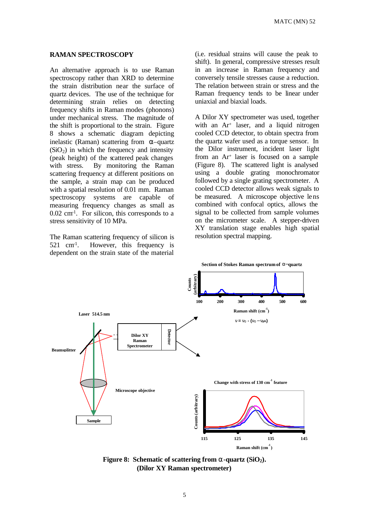#### **RAMAN SPECTROSCOPY**

An alternative approach is to use Raman spectroscopy rather than XRD to determine the strain distribution near the surface of quartz devices. The use of the technique for determining strain relies on detecting frequency shifts in Raman modes (phonons) under mechanical stress. The magnitude of the shift is proportional to the strain. Figure 8 shows a schematic diagram depicting inelastic (Raman) scattering from  $\alpha$ -quartz  $(SiO<sub>2</sub>)$  in which the frequency and intensity (peak height) of the scattered peak changes with stress. By monitoring the Raman scattering frequency at different positions on the sample, a strain map can be produced with a spatial resolution of 0.01 mm. Raman spectroscopy systems are capable of measuring frequency changes as small as 0.02 cm-1 . For silicon, this corresponds to a stress sensitivity of 10 MPa.

The Raman scattering frequency of silicon is  $521$  cm<sup>1</sup>. . However, this frequency is dependent on the strain state of the material

(i.e. residual strains will cause the peak to shift). In general, compressive stresses result in an increase in Raman frequency and conversely tensile stresses cause a reduction. The relation between strain or stress and the Raman frequency tends to be linear under uniaxial and biaxial loads.

A Dilor XY spectrometer was used, together with an Ar<sup>+</sup> laser, and a liquid nitrogen cooled CCD detector, to obtain spectra from the quartz wafer used as a torque sensor. In the Dilor instrument, incident laser light from an Ar+ laser is focused on a sample (Figure 8). The scattered light is analysed using a double grating monochromator followed by a single grating spectrometer. A cooled CCD detector allows weak signals to be measured. A microscope objective lens combined with confocal optics, allows the signal to be collected from sample volumes on the micrometer scale. A stepper-driven XY translation stage enables high spatial resolution spectral mapping.



**Figure 8: Schematic of scattering from a-quartz (SiO2). (Dilor XY Raman spectrometer)**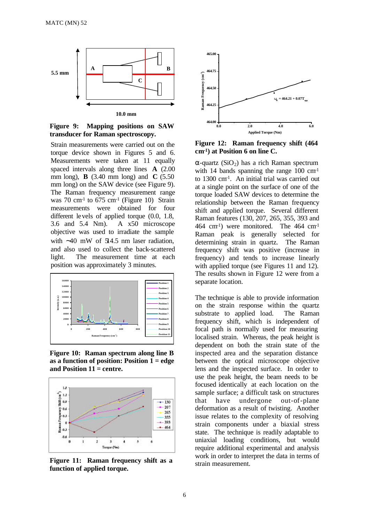

**Figure 9: Mapping positions on SAW transducer for Raman spectroscopy.**

Strain measurements were carried out on the torque device shown in Figures 5 and 6. Measurements were taken at 11 equally spaced intervals along three lines **A** (2.00 mm long), **B** (3.40 mm long) and **C** (5.50 mm long) on the SAW device (see Figure 9). The Raman frequency measurement range was  $70 \text{ cm}^1$  to  $675 \text{ cm}^1$  (Figure 10) Strain measurements were obtained for four different levels of applied torque (0.0, 1.8, 3.6 and 5.4 Nm). A x50 microscope objective was used to irradiate the sample with ∼40 mW of 514.5 nm laser radiation, and also used to collect the back-scattered light. The measurement time at each position was approximately 3 minutes.



**Figure 10: Raman spectrum along line B as a function of position: Position 1 = edge and Position 11 = centre.**



**Figure 11: Raman frequency shift as a function of applied torque.**



**Figure 12: Raman frequency shift (464 cm-1 ) at Position 6 on line C.**

 $\alpha$ -quartz (SiO<sub>2</sub>) has a rich Raman spectrum with 14 bands spanning the range  $100 \text{ cm}^{-1}$ to 1300 cm-1 . An initial trial was carried out at a single point on the surface of one of the torque loaded SAW devices to determine the relationship between the Raman frequency shift and applied torque. Several different Raman features (130, 207, 265, 355, 393 and 464 cm-1 ) were monitored. The 464 cm-1 Raman peak is generally selected for determining strain in quartz. The Raman frequency shift was positive (increase in frequency) and tends to increase linearly with applied torque (see Figures 11 and 12). The results shown in Figure 12 were from a separate location.

The technique is able to provide information on the strain response within the quartz substrate to applied load. The Raman frequency shift, which is independent of focal path is normally used for measuring localised strain. Whereas, the peak height is dependent on both the strain state of the inspected area and the separation distance between the optical microscope objective lens and the inspected surface. In order to use the peak height, the beam needs to be focused identically at each location on the sample surface; a difficult task on structures that have undergone out-of-plane deformation as a result of twisting. Another issue relates to the complexity of resolving strain components under a biaxial stress state. The technique is readily adaptable to uniaxial loading conditions, but would require additional experimental and analysis work in order to interpret the data in terms of strain measurement.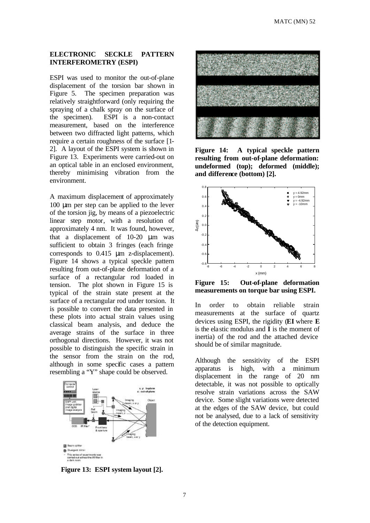# **ELECTRONIC SECKLE PATTERN INTERFEROMETRY (ESPI)**

ESPI was used to monitor the out-of-plane displacement of the torsion bar shown in Figure 5. The specimen preparation was relatively straightforward (only requiring the spraying of a chalk spray on the surface of the specimen). ESPI is a non-contact measurement, based on the interference between two diffracted light patterns, which require a certain roughness of the surface [1- 2]. A layout of the ESPI system is shown in Figure 13. Experiments were carried-out on an optical table in an enclosed environment, thereby minimising vibration from the environment.

A maximum displacement of approximately 100 μm per step can be applied to the lever of the torsion jig, by means of a piezoelectric linear step motor, with a resolution of approximately 4 nm. It was found, however, that a displacement of 10-20 μm was sufficient to obtain 3 fringes (each fringe corresponds to 0.415 μm z-displacement). Figure 14 shows a typical speckle pattern resulting from out-of-plane deformation of a surface of a rectangular rod loaded in tension. The plot shown in Figure 15 is typical of the strain state present at the surface of a rectangular rod under torsion. It is possible to convert the data presented in these plots into actual strain values using classical beam analysis, and deduce the average strains of the surface in three orthogonal directions. However, it was not possible to distinguish the specific strain in the sensor from the strain on the rod, although in some specific cases a pattern resembling a "Y" shape could be observed.



**Figure 14: A typical speckle pattern resulting from out-of-plane deformation: undeformed (top); deformed (middle); and difference (bottom) [2].**



**Figure 15: Out-of-plane deformation measurements on torque bar using ESPI.**

In order to obtain reliable strain measurements at the surface of quartz devices using ESPI, the rigidity (**EI** where **E** is the elastic modulus and **I** is the moment of inertia) of the rod and the attached device should be of similar magnitude.

Although the sensitivity of the ESPI apparatus is high, with a minimum displacement in the range of 20 nm detectable, it was not possible to optically resolve strain variations across the SAW device. Some slight variations were detected at the edges of the SAW device, but could not be analysed, due to a lack of sensitivity of the detection equipment.

**Figure 13: ESPI system layout [2].**